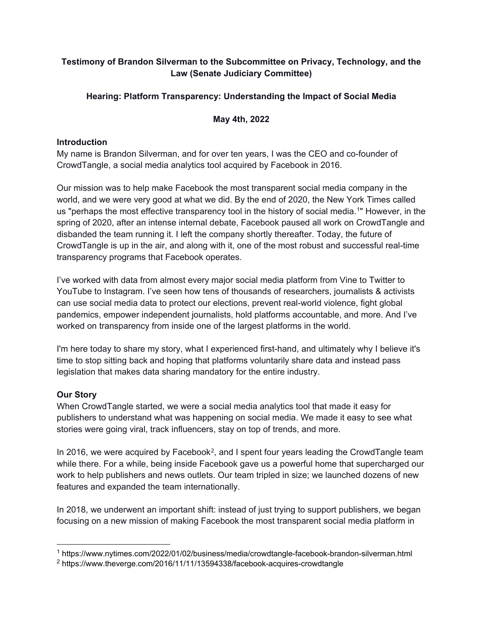# **Testimony of Brandon Silverman to the Subcommittee on Privacy, Technology, and the Law (Senate Judiciary Committee)**

# **Hearing: Platform Transparency: Understanding the Impact of Social Media**

## **May 4th, 2022**

## **Introduction**

My name is Brandon Silverman, and for over ten years, I was the CEO and co-founder of CrowdTangle, a social media analytics tool acquired by Facebook in 2016.

Our mission was to help make Facebook the most transparent social media company in the world, and we were very good at what we did. By the end of 2020, the New York Times called us "perhaps the most effective transparency tool in the history of social media.[1](#page-0-0)" However, in the spring of 2020, after an intense internal debate, Facebook paused all work on CrowdTangle and disbanded the team running it. I left the company shortly thereafter. Today, the future of CrowdTangle is up in the air, and along with it, one of the most robust and successful real-time transparency programs that Facebook operates.

I've worked with data from almost every major social media platform from Vine to Twitter to YouTube to Instagram. I've seen how tens of thousands of researchers, journalists & activists can use social media data to protect our elections, prevent real-world violence, fight global pandemics, empower independent journalists, hold platforms accountable, and more. And I've worked on transparency from inside one of the largest platforms in the world.

I'm here today to share my story, what I experienced first-hand, and ultimately why I believe it's time to stop sitting back and hoping that platforms voluntarily share data and instead pass legislation that makes data sharing mandatory for the entire industry.

# **Our Story**

When CrowdTangle started, we were a social media analytics tool that made it easy for publishers to understand what was happening on social media. We made it easy to see what stories were going viral, track influencers, stay on top of trends, and more.

In 2016, we were acquired by Facebook<sup>2</sup>, and I spent four years leading the CrowdTangle team while there. For a while, being inside Facebook gave us a powerful home that supercharged our work to help publishers and news outlets. Our team tripled in size; we launched dozens of new features and expanded the team internationally.

In 2018, we underwent an important shift: instead of just trying to support publishers, we began focusing on a new mission of making Facebook the most transparent social media platform in

<span id="page-0-0"></span> $\ddot{\phantom{a}}$ <sup>1</sup> https://www.nytimes.com/2022/01/02/business/media/crowdtangle-facebook-brandon-silverman.html

<span id="page-0-1"></span><sup>2</sup> https://www.theverge.com/2016/11/11/13594338/facebook-acquires-crowdtangle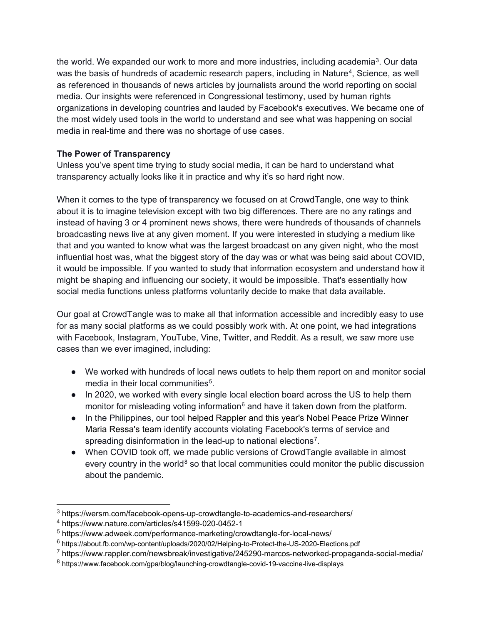the world. We expanded our work to more and more industries, including academia<sup>3</sup>. Our data was the basis of hundreds of academic research papers, including in Nature<sup>[4](#page-1-1)</sup>, Science, as well as referenced in thousands of news articles by journalists around the world reporting on social media. Our insights were referenced in Congressional testimony, used by human rights organizations in developing countries and lauded by Facebook's executives. We became one of the most widely used tools in the world to understand and see what was happening on social media in real-time and there was no shortage of use cases.

# **The Power of Transparency**

Unless you've spent time trying to study social media, it can be hard to understand what transparency actually looks like it in practice and why it's so hard right now.

When it comes to the type of transparency we focused on at CrowdTangle, one way to think about it is to imagine television except with two big differences. There are no any ratings and instead of having 3 or 4 prominent news shows, there were hundreds of thousands of channels broadcasting news live at any given moment. If you were interested in studying a medium like that and you wanted to know what was the largest broadcast on any given night, who the most influential host was, what the biggest story of the day was or what was being said about COVID, it would be impossible. If you wanted to study that information ecosystem and understand how it might be shaping and influencing our society, it would be impossible. That's essentially how social media functions unless platforms voluntarily decide to make that data available.

Our goal at CrowdTangle was to make all that information accessible and incredibly easy to use for as many social platforms as we could possibly work with. At one point, we had integrations with Facebook, Instagram, YouTube, Vine, Twitter, and Reddit. As a result, we saw more use cases than we ever imagined, including:

- We worked with hundreds of local news outlets to help them report on and monitor social media in their local communities<sup>5</sup>.
- In 2020, we worked with every single local election board across the US to help them monitor for misleading voting information $6$  and have it taken down from the platform.
- In the Philippines, our tool helped Rappler and this year's Nobel Peace Prize Winner Maria Ressa's team identify accounts violating Facebook's terms of service and spreading disinformation in the lead-up to national elections<sup>[7](#page-1-4)</sup>.
- When COVID took off, we made public versions of CrowdTangle available in almost every country in the world $8$  so that local communities could monitor the public discussion about the pandemic.

<span id="page-1-0"></span> <sup>3</sup> https://wersm.com/facebook-opens-up-crowdtangle-to-academics-and-researchers/

<span id="page-1-1"></span><sup>4</sup> https://www.nature.com/articles/s41599-020-0452-1

<span id="page-1-2"></span><sup>5</sup> https://www.adweek.com/performance-marketing/crowdtangle-for-local-news/

<span id="page-1-3"></span><sup>6</sup> https://about.fb.com/wp-content/uploads/2020/02/Helping-to-Protect-the-US-2020-Elections.pdf

<span id="page-1-4"></span><sup>7</sup> https://www.rappler.com/newsbreak/investigative/245290-marcos-networked-propaganda-social-media/

<span id="page-1-5"></span><sup>8</sup> https://www.facebook.com/gpa/blog/launching-crowdtangle-covid-19-vaccine-live-displays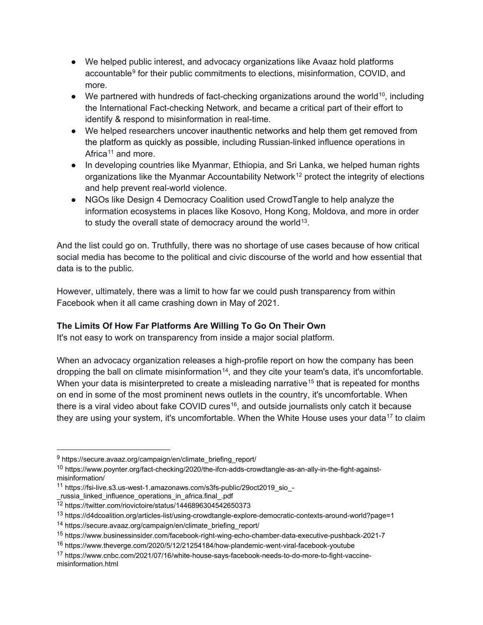- We helped public interest, and advocacy organizations like Avaaz hold platforms accountable[9](#page-2-0) for their public commitments to elections, misinformation, COVID, and more.
- $\bullet$  We partnered with hundreds of fact-checking organizations around the world<sup>[10](#page-2-1)</sup>, including the International Fact-checking Network, and became a critical part of their effort to identify & respond to misinformation in real-time.
- We helped researchers uncover inauthentic networks and help them get removed from the platform as quickly as possible, including Russian-linked influence operations in Africa<sup>[11](#page-2-2)</sup> and more.
- In developing countries like Myanmar, Ethiopia, and Sri Lanka, we helped human rights organizations like the Myanmar Accountability Network<sup>[12](#page-2-3)</sup> protect the integrity of elections and help prevent real-world violence.
- NGOs like Design 4 Democracy Coalition used CrowdTangle to help analyze the information ecosystems in places like Kosovo, Hong Kong, Moldova, and more in order to study the overall state of democracy around the world<sup>13</sup>.

And the list could go on. Truthfully, there was no shortage of use cases because of how critical social media has become to the political and civic discourse of the world and how essential that data is to the public.

However, ultimately, there was a limit to how far we could push transparency from within Facebook when it all came crashing down in May of 2021.

# **The Limits Of How Far Platforms Are Willing To Go On Their Own**

It's not easy to work on transparency from inside a major social platform.

When an advocacy organization releases a high-profile report on how the company has been dropping the ball on climate misinformation<sup>[14](#page-2-5)</sup>, and they cite your team's data, it's uncomfortable. When your data is misinterpreted to create a misleading narrative<sup>[15](#page-2-6)</sup> that is repeated for months on end in some of the most prominent news outlets in the country, it's uncomfortable. When there is a viral video about fake COVID cures<sup>[16](#page-2-7)</sup>, and outside journalists only catch it because they are using your system, it's uncomfortable. When the White House uses your data<sup>[17](#page-2-8)</sup> to claim

<span id="page-2-0"></span> <sup>9</sup> https://secure.avaaz.org/campaign/en/climate\_briefing\_report/

<span id="page-2-1"></span><sup>10</sup> https://www.poynter.org/fact-checking/2020/the-ifcn-adds-crowdtangle-as-an-ally-in-the-fight-againstmisinformation/

<span id="page-2-2"></span><sup>11</sup> https://fsi-live.s3.us-west-1.amazonaws.com/s3fs-public/29oct2019\_sio\_-

russia linked influence operations in africa.final .pdf

<span id="page-2-3"></span><sup>12</sup> https://twitter.com/riovictoire/status/1446896304542650373

<span id="page-2-4"></span><sup>13</sup> https://d4dcoalition.org/articles-list/using-crowdtangle-explore-democratic-contexts-around-world?page=1

<span id="page-2-5"></span><sup>14</sup> https://secure.avaaz.org/campaign/en/climate\_briefing\_report/

<span id="page-2-6"></span><sup>15</sup> https://www.businessinsider.com/facebook-right-wing-echo-chamber-data-executive-pushback-2021-7

<span id="page-2-7"></span><sup>16</sup> https://www.theverge.com/2020/5/12/21254184/how-plandemic-went-viral-facebook-youtube

<span id="page-2-8"></span><sup>17</sup> https://www.cnbc.com/2021/07/16/white-house-says-facebook-needs-to-do-more-to-fight-vaccinemisinformation.html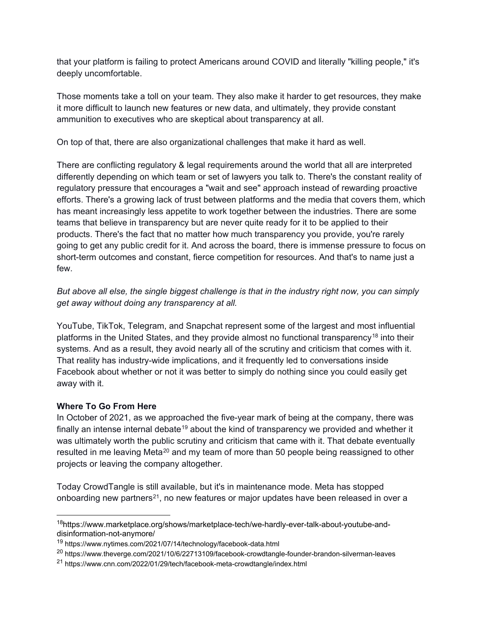that your platform is failing to protect Americans around COVID and literally "killing people," it's deeply uncomfortable.

Those moments take a toll on your team. They also make it harder to get resources, they make it more difficult to launch new features or new data, and ultimately, they provide constant ammunition to executives who are skeptical about transparency at all.

On top of that, there are also organizational challenges that make it hard as well.

There are conflicting regulatory & legal requirements around the world that all are interpreted differently depending on which team or set of lawyers you talk to. There's the constant reality of regulatory pressure that encourages a "wait and see" approach instead of rewarding proactive efforts. There's a growing lack of trust between platforms and the media that covers them, which has meant increasingly less appetite to work together between the industries. There are some teams that believe in transparency but are never quite ready for it to be applied to their products. There's the fact that no matter how much transparency you provide, you're rarely going to get any public credit for it. And across the board, there is immense pressure to focus on short-term outcomes and constant, fierce competition for resources. And that's to name just a few.

*But above all else, the single biggest challenge is that in the industry right now, you can simply get away without doing any transparency at all.* 

YouTube, TikTok, Telegram, and Snapchat represent some of the largest and most influential platforms in the United States, and they provide almost no functional transparency[18](#page-3-0) into their systems. And as a result, they avoid nearly all of the scrutiny and criticism that comes with it. That reality has industry-wide implications, and it frequently led to conversations inside Facebook about whether or not it was better to simply do nothing since you could easily get away with it.

## **Where To Go From Here**

In October of 2021, as we approached the five-year mark of being at the company, there was finally an intense internal debate<sup>[19](#page-3-1)</sup> about the kind of transparency we provided and whether it was ultimately worth the public scrutiny and criticism that came with it. That debate eventually resulted in me leaving Meta<sup>[20](#page-3-2)</sup> and my team of more than 50 people being reassigned to other projects or leaving the company altogether.

Today CrowdTangle is still available, but it's in maintenance mode. Meta has stopped onboarding new partners<sup>21</sup>, no new features or major updates have been released in over a

<span id="page-3-0"></span> <sup>18</sup>https://www.marketplace.org/shows/marketplace-tech/we-hardly-ever-talk-about-youtube-anddisinformation-not-anymore/

<span id="page-3-1"></span><sup>19</sup> https://www.nytimes.com/2021/07/14/technology/facebook-data.html

<span id="page-3-2"></span><sup>20</sup> https://www.theverge.com/2021/10/6/22713109/facebook-crowdtangle-founder-brandon-silverman-leaves

<span id="page-3-3"></span><sup>21</sup> https://www.cnn.com/2022/01/29/tech/facebook-meta-crowdtangle/index.html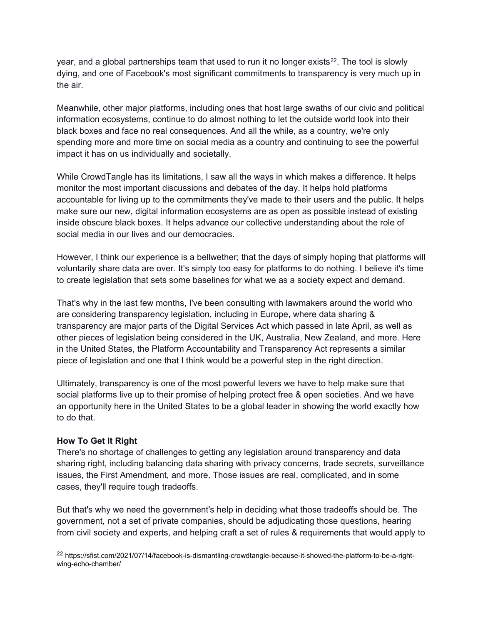year, and a global partnerships team that used to run it no longer exists<sup>[22](#page-4-0)</sup>. The tool is slowly dying, and one of Facebook's most significant commitments to transparency is very much up in the air.

Meanwhile, other major platforms, including ones that host large swaths of our civic and political information ecosystems, continue to do almost nothing to let the outside world look into their black boxes and face no real consequences. And all the while, as a country, we're only spending more and more time on social media as a country and continuing to see the powerful impact it has on us individually and societally.

While CrowdTangle has its limitations, I saw all the ways in which makes a difference. It helps monitor the most important discussions and debates of the day. It helps hold platforms accountable for living up to the commitments they've made to their users and the public. It helps make sure our new, digital information ecosystems are as open as possible instead of existing inside obscure black boxes. It helps advance our collective understanding about the role of social media in our lives and our democracies.

However, I think our experience is a bellwether; that the days of simply hoping that platforms will voluntarily share data are over. It's simply too easy for platforms to do nothing. I believe it's time to create legislation that sets some baselines for what we as a society expect and demand.

That's why in the last few months, I've been consulting with lawmakers around the world who are considering transparency legislation, including in Europe, where data sharing & transparency are major parts of the Digital Services Act which passed in late April, as well as other pieces of legislation being considered in the UK, Australia, New Zealand, and more. Here in the United States, the Platform Accountability and Transparency Act represents a similar piece of legislation and one that I think would be a powerful step in the right direction.

Ultimately, transparency is one of the most powerful levers we have to help make sure that social platforms live up to their promise of helping protect free & open societies. And we have an opportunity here in the United States to be a global leader in showing the world exactly how to do that.

#### **How To Get It Right**

There's no shortage of challenges to getting any legislation around transparency and data sharing right, including balancing data sharing with privacy concerns, trade secrets, surveillance issues, the First Amendment, and more. Those issues are real, complicated, and in some cases, they'll require tough tradeoffs.

But that's why we need the government's help in deciding what those tradeoffs should be. The government, not a set of private companies, should be adjudicating those questions, hearing from civil society and experts, and helping craft a set of rules & requirements that would apply to

<span id="page-4-0"></span> <sup>22</sup> https://sfist.com/2021/07/14/facebook-is-dismantling-crowdtangle-because-it-showed-the-platform-to-be-a-rightwing-echo-chamber/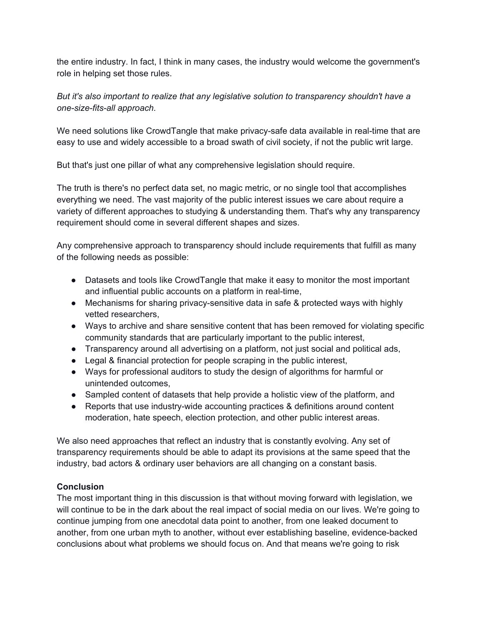the entire industry. In fact, I think in many cases, the industry would welcome the government's role in helping set those rules.

*But it's also important to realize that any legislative solution to transparency shouldn't have a one-size-fits-all approach.* 

We need solutions like CrowdTangle that make privacy-safe data available in real-time that are easy to use and widely accessible to a broad swath of civil society, if not the public writ large.

But that's just one pillar of what any comprehensive legislation should require.

The truth is there's no perfect data set, no magic metric, or no single tool that accomplishes everything we need. The vast majority of the public interest issues we care about require a variety of different approaches to studying & understanding them. That's why any transparency requirement should come in several different shapes and sizes.

Any comprehensive approach to transparency should include requirements that fulfill as many of the following needs as possible:

- Datasets and tools like CrowdTangle that make it easy to monitor the most important and influential public accounts on a platform in real-time,
- Mechanisms for sharing privacy-sensitive data in safe & protected ways with highly vetted researchers,
- Ways to archive and share sensitive content that has been removed for violating specific community standards that are particularly important to the public interest,
- Transparency around all advertising on a platform, not just social and political ads,
- Legal & financial protection for people scraping in the public interest,
- Ways for professional auditors to study the design of algorithms for harmful or unintended outcomes,
- Sampled content of datasets that help provide a holistic view of the platform, and
- Reports that use industry-wide accounting practices & definitions around content moderation, hate speech, election protection, and other public interest areas.

We also need approaches that reflect an industry that is constantly evolving. Any set of transparency requirements should be able to adapt its provisions at the same speed that the industry, bad actors & ordinary user behaviors are all changing on a constant basis.

## **Conclusion**

The most important thing in this discussion is that without moving forward with legislation, we will continue to be in the dark about the real impact of social media on our lives. We're going to continue jumping from one anecdotal data point to another, from one leaked document to another, from one urban myth to another, without ever establishing baseline, evidence-backed conclusions about what problems we should focus on. And that means we're going to risk